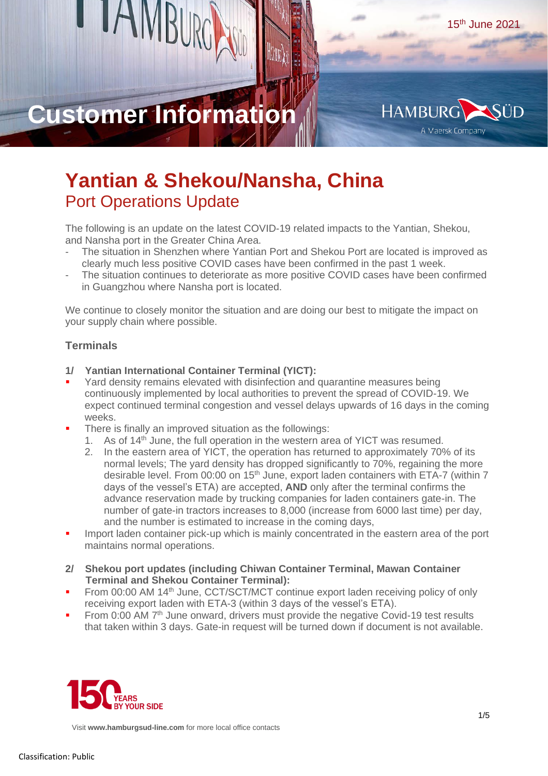

# **Yantian & Shekou/Nansha, China**  Port Operations Update

The following is an update on the latest COVID-19 related impacts to the Yantian, Shekou, and Nansha port in the Greater China Area.

- The situation in Shenzhen where Yantian Port and Shekou Port are located is improved as clearly much less positive COVID cases have been confirmed in the past 1 week.
- The situation continues to deteriorate as more positive COVID cases have been confirmed in Guangzhou where Nansha port is located.

We continue to closely monitor the situation and are doing our best to mitigate the impact on your supply chain where possible.

# **Terminals**

- **1/ Yantian International Container Terminal (YICT):**
- Yard density remains elevated with disinfection and quarantine measures being continuously implemented by local authorities to prevent the spread of COVID-19. We expect continued terminal congestion and vessel delays upwards of 16 days in the coming weeks.
- There is finally an improved situation as the followings:
	- 1. As of  $14<sup>th</sup>$  June, the full operation in the western area of YICT was resumed.
	- 2. In the eastern area of YICT, the operation has returned to approximately 70% of its normal levels; The yard density has dropped significantly to 70%, regaining the more desirable level. From 00:00 on 15<sup>th</sup> June, export laden containers with ETA-7 (within 7 days of the vessel's ETA) are accepted, **AND** only after the terminal confirms the advance reservation made by trucking companies for laden containers gate-in. The number of gate-in tractors increases to 8,000 (increase from 6000 last time) per day, and the number is estimated to increase in the coming days,
- Import laden container pick-up which is mainly concentrated in the eastern area of the port maintains normal operations.
- **2/ Shekou port updates (including Chiwan Container Terminal, Mawan Container Terminal and Shekou Container Terminal):**
- From 00:00 AM 14<sup>th</sup> June, CCT/SCT/MCT continue export laden receiving policy of only receiving export laden with ETA-3 (within 3 days of the vessel's ETA).
- **•** From 0:00 AM 7<sup>th</sup> June onward, drivers must provide the negative Covid-19 test results that taken within 3 days. Gate-in request will be turned down if document is not available.

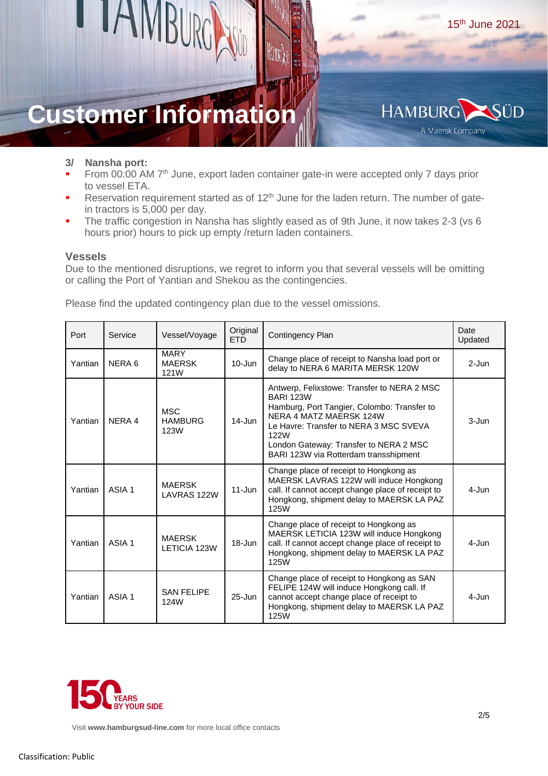

### **3/ Nansha port:**

- From 00:00 AM 7<sup>th</sup> June, export laden container gate-in were accepted only 7 days prior to vessel ETA.
- Reservation requirement started as of  $12<sup>th</sup>$  June for the laden return. The number of gatein tractors is 5,000 per day.
- The traffic congestion in Nansha has slightly eased as of 9th June, it now takes 2-3 (vs 6 hours prior) hours to pick up empty /return laden containers.

### **Vessels**

Due to the mentioned disruptions, we regret to inform you that several vessels will be omitting or calling the Port of Yantian and Shekou as the contingencies.

| Port    | Service           | Vessel/Voyage                        | Original<br><b>FTD</b> | Contingency Plan                                                                                                                                                                                                                                                               | Date<br>Updated |
|---------|-------------------|--------------------------------------|------------------------|--------------------------------------------------------------------------------------------------------------------------------------------------------------------------------------------------------------------------------------------------------------------------------|-----------------|
| Yantian | NERA <sub>6</sub> | <b>MARY</b><br><b>MAFRSK</b><br>121W | $10 - Jun$             | Change place of receipt to Nansha load port or<br>delay to NERA 6 MARITA MERSK 120W                                                                                                                                                                                            | $2 - Jun$       |
| Yantian | NFRA 4            | <b>MSC</b><br><b>HAMBURG</b><br>123W | $14 - Jun$             | Antwerp, Felixstowe: Transfer to NERA 2 MSC<br><b>BARI 123W</b><br>Hamburg, Port Tangier, Colombo: Transfer to<br>NERA 4 MATZ MAERSK 124W<br>Le Havre: Transfer to NERA 3 MSC SVEVA<br>122W<br>London Gateway: Transfer to NERA 2 MSC<br>BARI 123W via Rotterdam transshipment | 3-Jun           |
| Yantian | ASIA 1            | <b>MAFRSK</b><br>LAVRAS 122W         | $11 - Jun$             | Change place of receipt to Hongkong as<br>MAERSK LAVRAS 122W will induce Hongkong<br>call. If cannot accept change place of receipt to<br>Hongkong, shipment delay to MAERSK LA PAZ<br>125W                                                                                    | $4 -$ Jun       |
| Yantian | ASIA <sub>1</sub> | <b>MAERSK</b><br>LETICIA 123W        | 18-Jun                 | Change place of receipt to Hongkong as<br>MAERSK LETICIA 123W will induce Hongkong<br>call. If cannot accept change place of receipt to<br>Hongkong, shipment delay to MAERSK LA PAZ<br>125W                                                                                   | 4-Jun           |
| Yantian | ASIA <sub>1</sub> | SAN FFLIPE<br>124W                   | $25 - Jun$             | Change place of receipt to Hongkong as SAN<br>FELIPE 124W will induce Hongkong call. If<br>cannot accept change place of receipt to<br>Hongkong, shipment delay to MAERSK LA PAZ<br>125W                                                                                       | 4-Jun           |

Please find the updated contingency plan due to the vessel omissions.

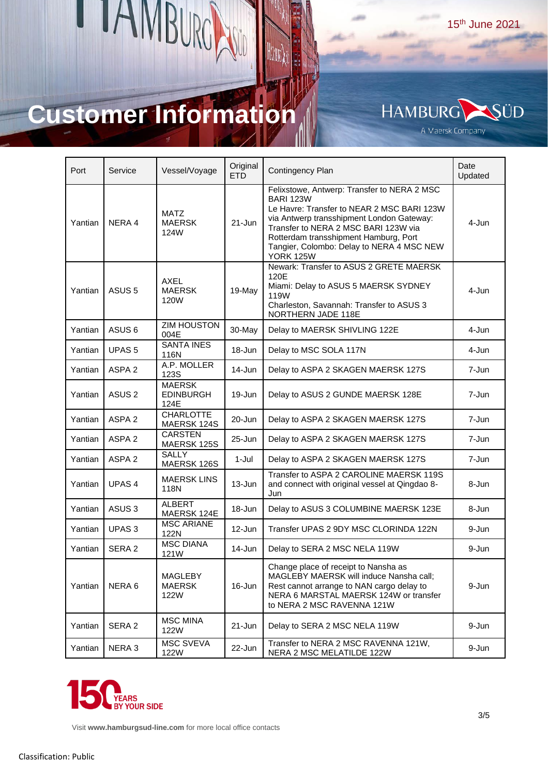15 th June 2021

# **Customer Information**

LIAMBURONO



| Port    | Service           | Vessel/Voyage                             | Original<br><b>ETD</b> | Contingency Plan                                                                                                                                                                                                                                                                                             | Date<br>Updated |
|---------|-------------------|-------------------------------------------|------------------------|--------------------------------------------------------------------------------------------------------------------------------------------------------------------------------------------------------------------------------------------------------------------------------------------------------------|-----------------|
| Yantian | NERA 4            | <b>MATZ</b><br><b>MAERSK</b><br>124W      | $21 - Jun$             | Felixstowe, Antwerp: Transfer to NERA 2 MSC<br><b>BARI 123W</b><br>Le Havre: Transfer to NEAR 2 MSC BARI 123W<br>via Antwerp transshipment London Gateway:<br>Transfer to NERA 2 MSC BARI 123W via<br>Rotterdam transshipment Hamburg, Port<br>Tangier, Colombo: Delay to NERA 4 MSC NEW<br><b>YORK 125W</b> | 4-Jun           |
| Yantian | ASUS <sub>5</sub> | <b>AXEL</b><br><b>MAERSK</b><br>120W      | 19-May                 | Newark: Transfer to ASUS 2 GRETE MAERSK<br>120E<br>Miami: Delay to ASUS 5 MAERSK SYDNEY<br>119W<br>Charleston, Savannah: Transfer to ASUS 3<br>NORTHERN JADE 118E                                                                                                                                            | 4-Jun           |
| Yantian | ASUS <sub>6</sub> | <b>ZIM HOUSTON</b><br>004E                | 30-May                 | Delay to MAERSK SHIVLING 122E                                                                                                                                                                                                                                                                                | 4-Jun           |
| Yantian | UPAS <sub>5</sub> | <b>SANTA INES</b><br>116N                 | 18-Jun                 | Delay to MSC SOLA 117N                                                                                                                                                                                                                                                                                       | 4-Jun           |
| Yantian | ASPA <sub>2</sub> | A.P. MOLLER<br>123S                       | 14-Jun                 | Delay to ASPA 2 SKAGEN MAERSK 127S                                                                                                                                                                                                                                                                           | 7-Jun           |
| Yantian | ASUS <sub>2</sub> | <b>MAERSK</b><br><b>EDINBURGH</b><br>124E | 19-Jun                 | Delay to ASUS 2 GUNDE MAERSK 128E                                                                                                                                                                                                                                                                            | 7-Jun           |
| Yantian | ASPA <sub>2</sub> | <b>CHARLOTTE</b><br>MAERSK 124S           | $20 - Jun$             | Delay to ASPA 2 SKAGEN MAERSK 127S                                                                                                                                                                                                                                                                           | 7-Jun           |
| Yantian | ASPA <sub>2</sub> | <b>CARSTEN</b><br>MAERSK 125S             | 25-Jun                 | Delay to ASPA 2 SKAGEN MAERSK 127S                                                                                                                                                                                                                                                                           | 7-Jun           |
| Yantian | ASPA <sub>2</sub> | SALLY<br>MAERSK 126S                      | 1-Jul                  | Delay to ASPA 2 SKAGEN MAERSK 127S                                                                                                                                                                                                                                                                           | 7-Jun           |
| Yantian | UPAS <sub>4</sub> | <b>MAERSK LINS</b><br>118N                | 13-Jun                 | Transfer to ASPA 2 CAROLINE MAERSK 119S<br>and connect with original vessel at Qingdao 8-<br>Jun                                                                                                                                                                                                             | 8-Jun           |
| Yantian | ASUS <sub>3</sub> | <b>ALBERT</b><br>MAERSK 124E              | 18-Jun                 | Delay to ASUS 3 COLUMBINE MAERSK 123E                                                                                                                                                                                                                                                                        | 8-Jun           |
| Yantian | UPAS <sub>3</sub> | <b>MSC ARIANE</b><br>122N                 | 12-Jun                 | Transfer UPAS 2 9DY MSC CLORINDA 122N                                                                                                                                                                                                                                                                        | 9-Jun           |
| Yantian | SERA <sub>2</sub> | <b>MSC DIANA</b><br>121W                  | 14-Jun                 | Delay to SERA 2 MSC NELA 119W                                                                                                                                                                                                                                                                                | 9-Jun           |
| Yantian | NERA 6            | <b>MAGLEBY</b><br><b>MAERSK</b><br>122W   | 16-Jun                 | Change place of receipt to Nansha as<br>MAGLEBY MAERSK will induce Nansha call;<br>Rest cannot arrange to NAN cargo delay to<br>NERA 6 MARSTAL MAERSK 124W or transfer<br>to NERA 2 MSC RAVENNA 121W                                                                                                         | 9-Jun           |
| Yantian | SERA 2            | MSC MINA<br>122W                          | 21-Jun                 | Delay to SERA 2 MSC NELA 119W                                                                                                                                                                                                                                                                                | 9-Jun           |
| Yantian | NERA 3            | MSC SVEVA<br>122W                         | 22-Jun                 | Transfer to NERA 2 MSC RAVENNA 121W,<br>NERA 2 MSC MELATILDE 122W                                                                                                                                                                                                                                            | 9-Jun           |

**IWH** 

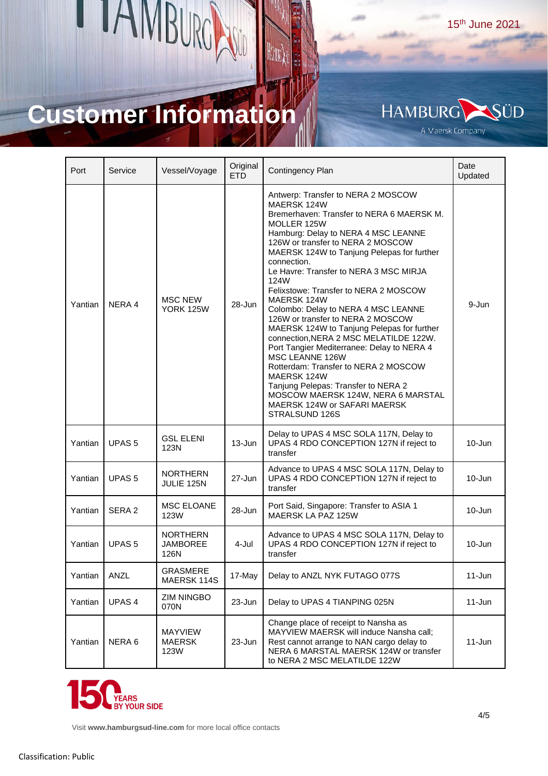15 th June 2021

# **Customer Information**

LIAMBUROAN



| Port    | Service           | Vessel/Voyage                           | Original<br><b>ETD</b> | Contingency Plan                                                                                                                                                                                                                                                                                                                                                                                                                                                                                                                                                                                                                                                                                                                                                                            | Date<br>Updated |
|---------|-------------------|-----------------------------------------|------------------------|---------------------------------------------------------------------------------------------------------------------------------------------------------------------------------------------------------------------------------------------------------------------------------------------------------------------------------------------------------------------------------------------------------------------------------------------------------------------------------------------------------------------------------------------------------------------------------------------------------------------------------------------------------------------------------------------------------------------------------------------------------------------------------------------|-----------------|
| Yantian | NERA 4            | <b>MSC NEW</b><br><b>YORK 125W</b>      | 28-Jun                 | Antwerp: Transfer to NERA 2 MOSCOW<br>MAERSK 124W<br>Bremerhaven: Transfer to NERA 6 MAERSK M.<br>MOLLER 125W<br>Hamburg: Delay to NERA 4 MSC LEANNE<br>126W or transfer to NERA 2 MOSCOW<br>MAERSK 124W to Tanjung Pelepas for further<br>connection.<br>Le Havre: Transfer to NERA 3 MSC MIRJA<br>124W<br>Felixstowe: Transfer to NERA 2 MOSCOW<br>MAERSK 124W<br>Colombo: Delay to NERA 4 MSC LEANNE<br>126W or transfer to NERA 2 MOSCOW<br>MAERSK 124W to Tanjung Pelepas for further<br>connection, NERA 2 MSC MELATILDE 122W.<br>Port Tangier Mediterranee: Delay to NERA 4<br>MSC LEANNE 126W<br>Rotterdam: Transfer to NERA 2 MOSCOW<br>MAERSK 124W<br>Tanjung Pelepas: Transfer to NERA 2<br>MOSCOW MAERSK 124W, NERA 6 MARSTAL<br>MAERSK 124W or SAFARI MAERSK<br>STRALSUND 126S | 9-Jun           |
| Yantian | UPAS <sub>5</sub> | <b>GSL ELENI</b><br>123N                | $13 - Jun$             | Delay to UPAS 4 MSC SOLA 117N, Delay to<br>UPAS 4 RDO CONCEPTION 127N if reject to<br>transfer                                                                                                                                                                                                                                                                                                                                                                                                                                                                                                                                                                                                                                                                                              | $10 - Jun$      |
| Yantian | UPAS <sub>5</sub> | <b>NORTHERN</b><br>JULIE 125N           | 27-Jun                 | Advance to UPAS 4 MSC SOLA 117N, Delay to<br>UPAS 4 RDO CONCEPTION 127N if reject to<br>transfer                                                                                                                                                                                                                                                                                                                                                                                                                                                                                                                                                                                                                                                                                            | 10-Jun          |
| Yantian | SERA <sub>2</sub> | <b>MSC ELOANE</b><br><b>123W</b>        | 28-Jun                 | Port Said, Singapore: Transfer to ASIA 1<br>MAERSK LA PAZ 125W                                                                                                                                                                                                                                                                                                                                                                                                                                                                                                                                                                                                                                                                                                                              | 10-Jun          |
| Yantian | UPAS <sub>5</sub> | NORTHERN<br><b>JAMBOREE</b><br>126N     | 4-Jul                  | Advance to UPAS 4 MSC SOLA 117N, Delay to<br>UPAS 4 RDO CONCEPTION 127N if reject to<br>transfer                                                                                                                                                                                                                                                                                                                                                                                                                                                                                                                                                                                                                                                                                            | 10-Jun          |
| Yantian | ANZL              | GRASMERE<br>MAERSK 114S                 | 17-May                 | Delay to ANZL NYK FUTAGO 077S                                                                                                                                                                                                                                                                                                                                                                                                                                                                                                                                                                                                                                                                                                                                                               | $11 - Jun$      |
| Yantian | UPAS <sub>4</sub> | <b>ZIM NINGBO</b><br>070N               | 23-Jun                 | Delay to UPAS 4 TIANPING 025N                                                                                                                                                                                                                                                                                                                                                                                                                                                                                                                                                                                                                                                                                                                                                               | $11 - Jun$      |
| Yantian | NERA 6            | <b>MAYVIEW</b><br><b>MAERSK</b><br>123W | 23-Jun                 | Change place of receipt to Nansha as<br>MAYVIEW MAERSK will induce Nansha call;<br>Rest cannot arrange to NAN cargo delay to<br>NERA 6 MARSTAL MAERSK 124W or transfer<br>to NERA 2 MSC MELATILDE 122W                                                                                                                                                                                                                                                                                                                                                                                                                                                                                                                                                                                      | $11 - Jun$      |

**IWH**